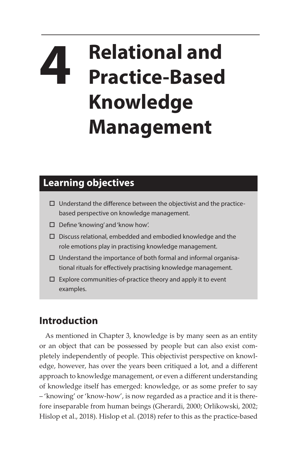## **4 Relational and Practice-Based Knowledge Management**

## **Learning objectives**

- $\square$  Understand the difference between the objectivist and the practicebased perspective on knowledge management.
- Define 'knowing' and 'know how'.
- $\square$  Discuss relational, embedded and embodied knowledge and the role emotions play in practising knowledge management.
- $\square$  Understand the importance of both formal and informal organisational rituals for effectively practising knowledge management.
- $\square$  Explore communities-of-practice theory and apply it to event examples.

## **Introduction**

As mentioned in Chapter 3, knowledge is by many seen as an entity or an object that can be possessed by people but can also exist completely independently of people. This objectivist perspective on knowledge, however, has over the years been critiqued a lot, and a different approach to knowledge management, or even a different understanding of knowledge itself has emerged: knowledge, or as some prefer to say – 'knowing' or 'know-how', is now regarded as a practice and it is therefore inseparable from human beings (Gherardi, 2000; Orlikowski, 2002; Hislop et al., 2018). Hislop et al. (2018) refer to this as the practice-based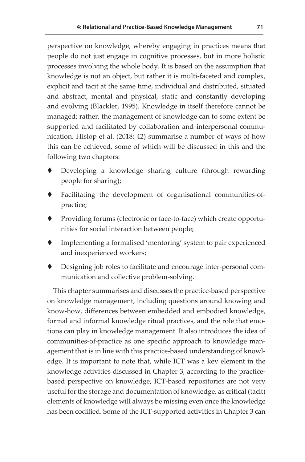perspective on knowledge, whereby engaging in practices means that people do not just engage in cognitive processes, but in more holistic processes involving the whole body. It is based on the assumption that knowledge is not an object, but rather it is multi-faceted and complex, explicit and tacit at the same time, individual and distributed, situated and abstract, mental and physical, static and constantly developing and evolving (Blackler, 1995). Knowledge in itself therefore cannot be managed; rather, the management of knowledge can to some extent be supported and facilitated by collaboration and interpersonal communication. Hislop et al. (2018: 42) summarise a number of ways of how this can be achieved, some of which will be discussed in this and the following two chapters:

- Developing a knowledge sharing culture (through rewarding people for sharing);
- Facilitating the development of organisational communities-ofpractice;
- Providing forums (electronic or face-to-face) which create opportunities for social interaction between people;
- Implementing a formalised 'mentoring' system to pair experienced and inexperienced workers;
- Designing job roles to facilitate and encourage inter-personal communication and collective problem-solving.

This chapter summarises and discusses the practice-based perspective on knowledge management, including questions around knowing and know-how, differences between embedded and embodied knowledge, formal and informal knowledge ritual practices, and the role that emotions can play in knowledge management. It also introduces the idea of communities-of-practice as one specific approach to knowledge management that is in line with this practice-based understanding of knowledge. It is important to note that, while ICT was a key element in the knowledge activities discussed in Chapter 3, according to the practicebased perspective on knowledge, ICT-based repositories are not very useful for the storage and documentation of knowledge, as critical (tacit) elements of knowledge will always be missing even once the knowledge has been codified. Some of the ICT-supported activities in Chapter 3 can